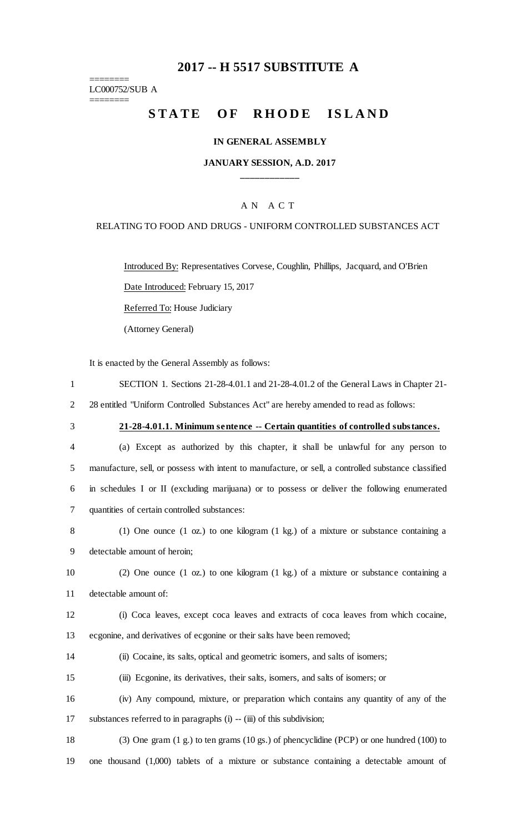# **2017 -- H 5517 SUBSTITUTE A**

======== LC000752/SUB A

========

# STATE OF RHODE ISLAND

#### **IN GENERAL ASSEMBLY**

#### **JANUARY SESSION, A.D. 2017 \_\_\_\_\_\_\_\_\_\_\_\_**

#### A N A C T

#### RELATING TO FOOD AND DRUGS - UNIFORM CONTROLLED SUBSTANCES ACT

Introduced By: Representatives Corvese, Coughlin, Phillips, Jacquard, and O'Brien

Date Introduced: February 15, 2017

Referred To: House Judiciary

(Attorney General)

It is enacted by the General Assembly as follows:

- 1 SECTION 1. Sections 21-28-4.01.1 and 21-28-4.01.2 of the General Laws in Chapter 21- 2 28 entitled "Uniform Controlled Substances Act" are hereby amended to read as follows:
- 

#### 3 **21-28-4.01.1. Minimum sentence -- Certain quantities of controlled substances.**

- 4 (a) Except as authorized by this chapter, it shall be unlawful for any person to 5 manufacture, sell, or possess with intent to manufacture, or sell, a controlled substance classified 6 in schedules I or II (excluding marijuana) or to possess or deliver the following enumerated 7 quantities of certain controlled substances:
- 8 (1) One ounce (1 oz.) to one kilogram (1 kg.) of a mixture or substance containing a 9 detectable amount of heroin;
- 10 (2) One ounce (1 oz.) to one kilogram (1 kg.) of a mixture or substance containing a 11 detectable amount of:
- 12 (i) Coca leaves, except coca leaves and extracts of coca leaves from which cocaine, 13 ecgonine, and derivatives of ecgonine or their salts have been removed;
- 14 (ii) Cocaine, its salts, optical and geometric isomers, and salts of isomers;
- 15 (iii) Ecgonine, its derivatives, their salts, isomers, and salts of isomers; or
- 16 (iv) Any compound, mixture, or preparation which contains any quantity of any of the 17 substances referred to in paragraphs (i) -- (iii) of this subdivision;
- 18 (3) One gram (1 g.) to ten grams (10 gs.) of phencyclidine (PCP) or one hundred (100) to 19 one thousand (1,000) tablets of a mixture or substance containing a detectable amount of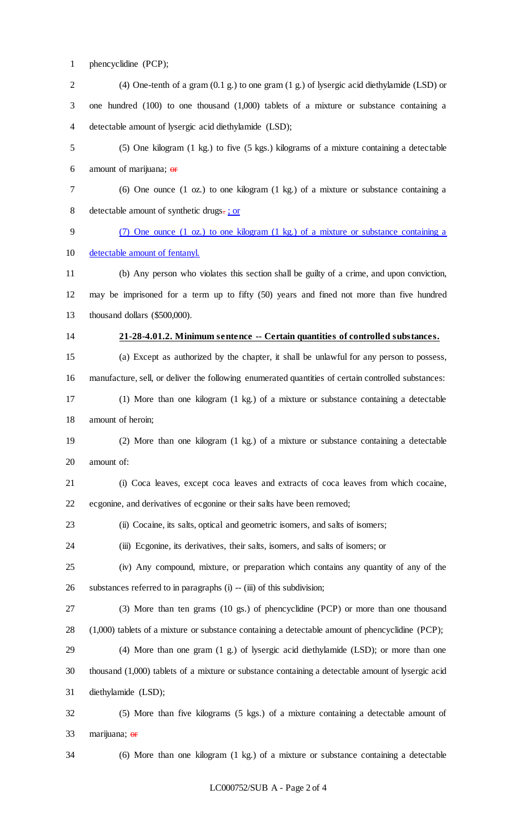phencyclidine (PCP);

 (4) One-tenth of a gram (0.1 g.) to one gram (1 g.) of lysergic acid diethylamide (LSD) or one hundred (100) to one thousand (1,000) tablets of a mixture or substance containing a detectable amount of lysergic acid diethylamide (LSD); (5) One kilogram (1 kg.) to five (5 kgs.) kilograms of a mixture containing a detectable 6 amount of marijuana;  $\theta$  (6) One ounce (1 oz.) to one kilogram (1 kg.) of a mixture or substance containing a detectable amount of synthetic drugs. ; or (7) One ounce (1 oz.) to one kilogram (1 kg.) of a mixture or substance containing a detectable amount of fentanyl. (b) Any person who violates this section shall be guilty of a crime, and upon conviction, may be imprisoned for a term up to fifty (50) years and fined not more than five hundred thousand dollars (\$500,000). **21-28-4.01.2. Minimum sentence -- Certain quantities of controlled substances.** (a) Except as authorized by the chapter, it shall be unlawful for any person to possess, manufacture, sell, or deliver the following enumerated quantities of certain controlled substances: (1) More than one kilogram (1 kg.) of a mixture or substance containing a detectable amount of heroin; (2) More than one kilogram (1 kg.) of a mixture or substance containing a detectable amount of: (i) Coca leaves, except coca leaves and extracts of coca leaves from which cocaine, ecgonine, and derivatives of ecgonine or their salts have been removed; (ii) Cocaine, its salts, optical and geometric isomers, and salts of isomers; (iii) Ecgonine, its derivatives, their salts, isomers, and salts of isomers; or (iv) Any compound, mixture, or preparation which contains any quantity of any of the substances referred to in paragraphs (i) -- (iii) of this subdivision; (3) More than ten grams (10 gs.) of phencyclidine (PCP) or more than one thousand (1,000) tablets of a mixture or substance containing a detectable amount of phencyclidine (PCP); (4) More than one gram (1 g.) of lysergic acid diethylamide (LSD); or more than one thousand (1,000) tablets of a mixture or substance containing a detectable amount of lysergic acid diethylamide (LSD); (5) More than five kilograms (5 kgs.) of a mixture containing a detectable amount of marijuana; or

(6) More than one kilogram (1 kg.) of a mixture or substance containing a detectable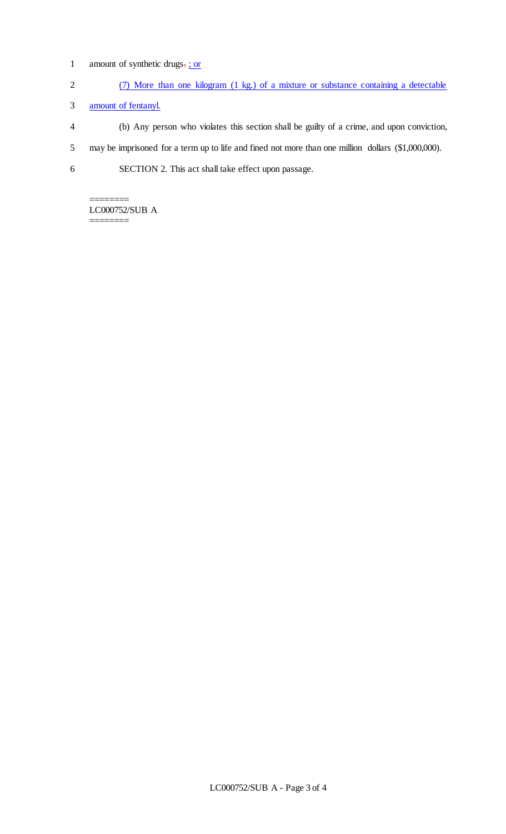- 1 amount of synthetic drugs-; or
- 2 (7) More than one kilogram (1 kg.) of a mixture or substance containing a detectable
- 3 amount of fentanyl.
- 4 (b) Any person who violates this section shall be guilty of a crime, and upon conviction,
- 5 may be imprisoned for a term up to life and fined not more than one million dollars (\$1,000,000).
- 6 SECTION 2. This act shall take effect upon passage.

======== LC000752/SUB A ========